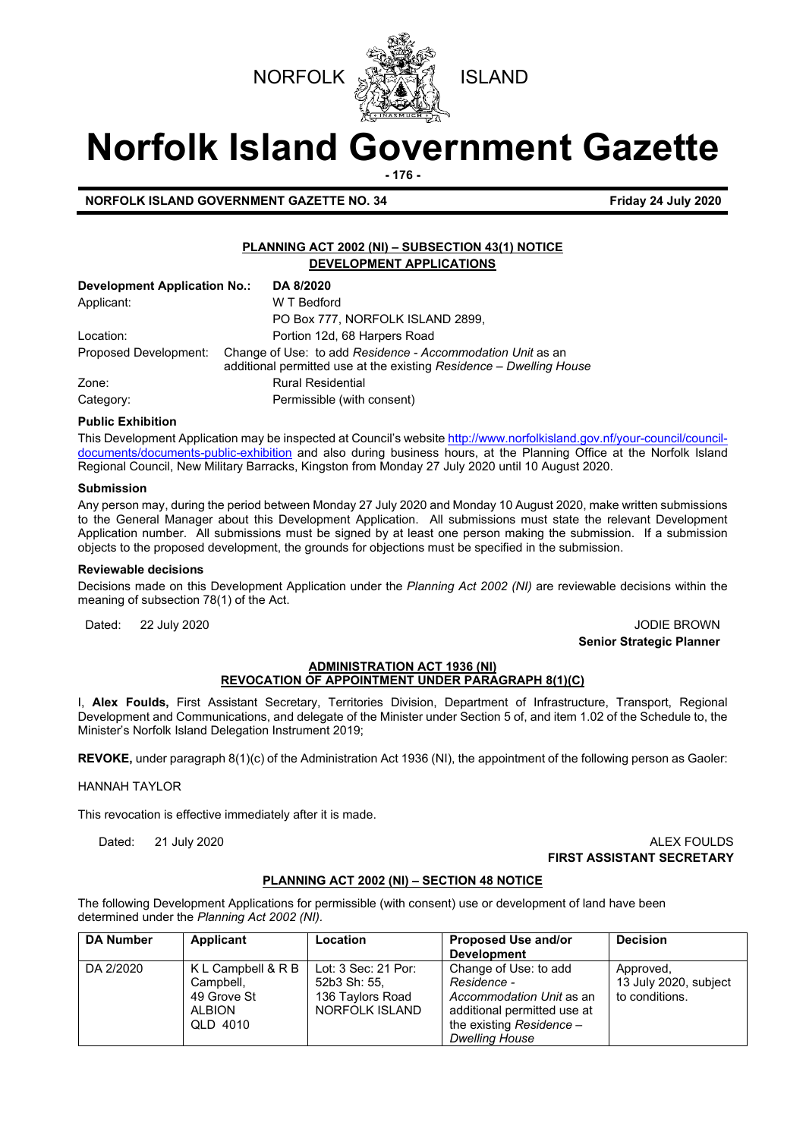



# **Norfolk Island Government Gazette**

**- 176 -**

**NORFOLK ISLAND GOVERNMENT GAZETTE NO. 34 Friday 24 July 2020**

#### **PLANNING ACT 2002 (NI) – SUBSECTION 43(1) NOTICE DEVELOPMENT APPLICATIONS**

| <b>Development Application No.:</b> | DA 8/2020                                                                                                                         |
|-------------------------------------|-----------------------------------------------------------------------------------------------------------------------------------|
| Applicant:                          | W T Bedford                                                                                                                       |
|                                     | PO Box 777, NORFOLK ISLAND 2899,                                                                                                  |
| Location:                           | Portion 12d, 68 Harpers Road                                                                                                      |
| Proposed Development:               | Change of Use: to add Residence - Accommodation Unit as an<br>additional permitted use at the existing Residence - Dwelling House |
| Zone:                               | <b>Rural Residential</b>                                                                                                          |
| Category:                           | Permissible (with consent)                                                                                                        |

#### **Public Exhibition**

This Development Application may be inspected at Council's websit[e http://www.norfolkisland.gov.nf/your-council/council](http://www.norfolkisland.gov.nf/your-council/council-documents/documents-public-exhibition)[documents/documents-public-exhibition](http://www.norfolkisland.gov.nf/your-council/council-documents/documents-public-exhibition) and also during business hours, at the Planning Office at the Norfolk Island Regional Council, New Military Barracks, Kingston from Monday 27 July 2020 until 10 August 2020.

#### **Submission**

Any person may, during the period between Monday 27 July 2020 and Monday 10 August 2020, make written submissions to the General Manager about this Development Application. All submissions must state the relevant Development Application number. All submissions must be signed by at least one person making the submission. If a submission objects to the proposed development, the grounds for objections must be specified in the submission.

#### **Reviewable decisions**

Decisions made on this Development Application under the *Planning Act 2002 (NI)* are reviewable decisions within the meaning of subsection 78(1) of the Act.

Dated: 22 July 2020 20 John March 2010 20:00 20:00 20:00 20:00 20:00 20:00 20:00 20:00 20:00 20:00 20:00 20:00 **Senior Strategic Planner** 

#### **ADMINISTRATION ACT 1936 (NI) REVOCATION OF APPOINTMENT UNDER PARAGRAPH 8(1)(C)**

I, **Alex Foulds,** First Assistant Secretary, Territories Division, Department of Infrastructure, Transport, Regional Development and Communications, and delegate of the Minister under Section 5 of, and item 1.02 of the Schedule to, the Minister's Norfolk Island Delegation Instrument 2019;

**REVOKE,** under paragraph 8(1)(c) of the Administration Act 1936 (NI), the appointment of the following person as Gaoler:

#### HANNAH TAYLOR

This revocation is effective immediately after it is made.

#### Dated: 21 July 2020 ALEX FOULDS **FIRST ASSISTANT SECRETARY**

#### **PLANNING ACT 2002 (NI) – SECTION 48 NOTICE**

The following Development Applications for permissible (with consent) use or development of land have been determined under the *Planning Act 2002 (NI).*

| <b>DA Number</b> | Applicant                                                                   | Location                                                                  | Proposed Use and/or<br><b>Development</b>                                                                                                              | <b>Decision</b>                                      |
|------------------|-----------------------------------------------------------------------------|---------------------------------------------------------------------------|--------------------------------------------------------------------------------------------------------------------------------------------------------|------------------------------------------------------|
| DA 2/2020        | K L Campbell & R B<br>Campbell,<br>49 Grove St<br><b>ALBION</b><br>QLD 4010 | Lot: 3 Sec: 21 Por:<br>52b3 Sh: 55,<br>136 Taylors Road<br>NORFOLK ISLAND | Change of Use: to add<br>Residence -<br>Accommodation Unit as an<br>additional permitted use at<br>the existing Residence $-$<br><b>Dwelling House</b> | Approved,<br>13 July 2020, subject<br>to conditions. |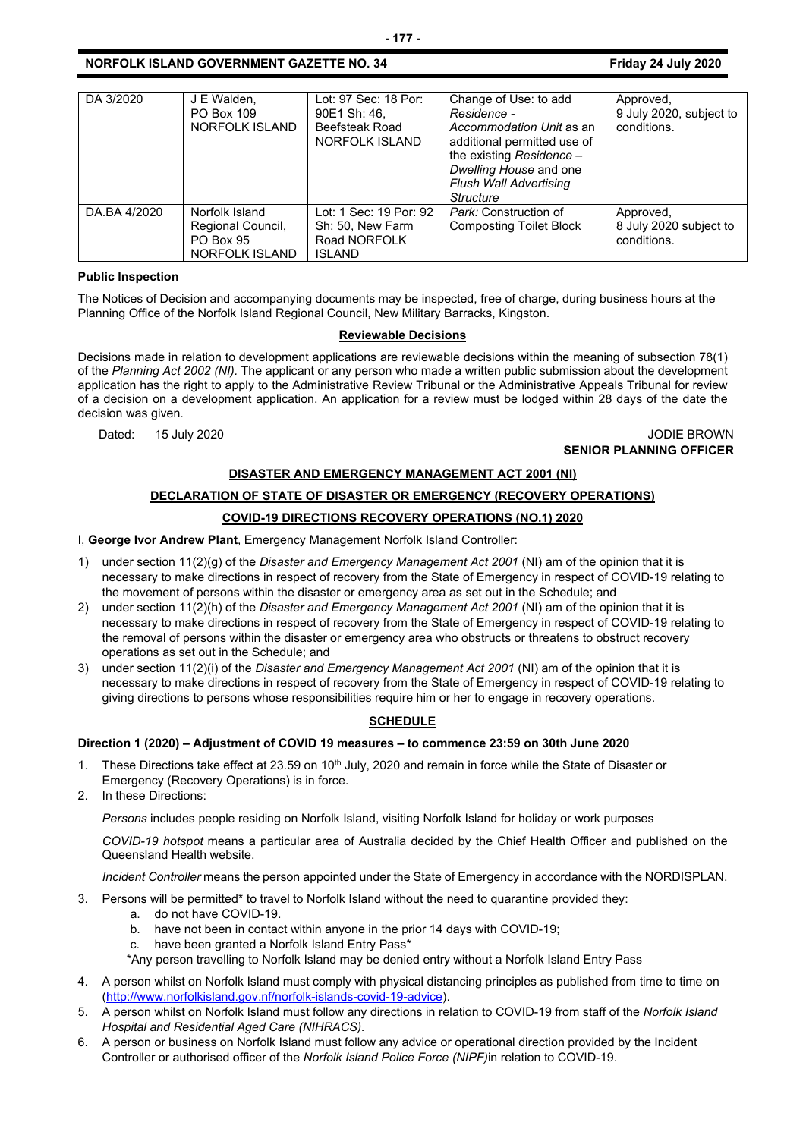| DA 3/2020    | J E Walden,<br>PO Box 109<br>NORFOLK ISLAND                               | Lot: 97 Sec: 18 Por:<br>90E1 Sh: 46,<br>Beefsteak Road<br>NORFOLK ISLAND    | Change of Use: to add<br>Residence -<br>Accommodation Unit as an<br>additional permitted use of<br>the existing Residence -<br>Dwelling House and one<br><b>Flush Wall Advertising</b><br>Structure | Approved,<br>9 July 2020, subject to<br>conditions. |
|--------------|---------------------------------------------------------------------------|-----------------------------------------------------------------------------|-----------------------------------------------------------------------------------------------------------------------------------------------------------------------------------------------------|-----------------------------------------------------|
| DA.BA 4/2020 | Norfolk Island<br>Regional Council,<br><b>PO Box 95</b><br>NORFOLK ISLAND | Lot: 1 Sec: 19 Por: 92<br>Sh: 50, New Farm<br>Road NORFOLK<br><b>ISLAND</b> | Park: Construction of<br><b>Composting Toilet Block</b>                                                                                                                                             | Approved,<br>8 July 2020 subject to<br>conditions.  |

#### **Public Inspection**

The Notices of Decision and accompanying documents may be inspected, free of charge, during business hours at the Planning Office of the Norfolk Island Regional Council, New Military Barracks, Kingston.

#### **Reviewable Decisions**

Decisions made in relation to development applications are reviewable decisions within the meaning of subsection 78(1) of the *Planning Act 2002 (NI).* The applicant or any person who made a written public submission about the development application has the right to apply to the Administrative Review Tribunal or the Administrative Appeals Tribunal for review of a decision on a development application. An application for a review must be lodged within 28 days of the date the decision was given.

Dated: 15 July 2020 **Dated: 15 July 2020 SENIOR PLANNING OFFICER**

#### **DISASTER AND EMERGENCY MANAGEMENT ACT 2001 (NI)**

## **DECLARATION OF STATE OF DISASTER OR EMERGENCY (RECOVERY OPERATIONS)**

#### **COVID-19 DIRECTIONS RECOVERY OPERATIONS (NO.1) 2020**

I, **George Ivor Andrew Plant**, Emergency Management Norfolk Island Controller:

- 1) under section 11(2)(g) of the *Disaster and Emergency Management Act 2001* (NI) am of the opinion that it is necessary to make directions in respect of recovery from the State of Emergency in respect of COVID-19 relating to the movement of persons within the disaster or emergency area as set out in the Schedule; and
- 2) under section 11(2)(h) of the *Disaster and Emergency Management Act 2001* (NI) am of the opinion that it is necessary to make directions in respect of recovery from the State of Emergency in respect of COVID-19 relating to the removal of persons within the disaster or emergency area who obstructs or threatens to obstruct recovery operations as set out in the Schedule; and
- 3) under section 11(2)(i) of the *Disaster and Emergency Management Act 2001* (NI) am of the opinion that it is necessary to make directions in respect of recovery from the State of Emergency in respect of COVID-19 relating to giving directions to persons whose responsibilities require him or her to engage in recovery operations.

#### **SCHEDULE**

#### **Direction 1 (2020) – Adjustment of COVID 19 measures – to commence 23:59 on 30th June 2020**

- 1. These Directions take effect at 23.59 on 10<sup>th</sup> July, 2020 and remain in force while the State of Disaster or Emergency (Recovery Operations) is in force.
- 2. In these Directions:

*Persons* includes people residing on Norfolk Island, visiting Norfolk Island for holiday or work purposes

*COVID-19 hotspot* means a particular area of Australia decided by the Chief Health Officer and published on the Queensland Health website.

*Incident Controller* means the person appointed under the State of Emergency in accordance with the NORDISPLAN.

- 3. Persons will be permitted\* to travel to Norfolk Island without the need to quarantine provided they:
	- a. do not have COVID-19.
	- b. have not been in contact within anyone in the prior 14 days with COVID-19;
	- c. have been granted a Norfolk Island Entry Pass\*
	- \*Any person travelling to Norfolk Island may be denied entry without a Norfolk Island Entry Pass
- 4. A person whilst on Norfolk Island must comply with physical distancing principles as published from time to time on [\(http://www.norfolkisland.gov.nf/norfolk-islands-covid-19-advice\)](http://www.norfolkisland.gov.nf/norfolk-islands-covid-19-advice).
- 5. A person whilst on Norfolk Island must follow any directions in relation to COVID-19 from staff of the *Norfolk Island Hospital and Residential Aged Care (NIHRACS).*
- 6. A person or business on Norfolk Island must follow any advice or operational direction provided by the Incident Controller or authorised officer of the *Norfolk Island Police Force (NIPF)*in relation to COVID-19.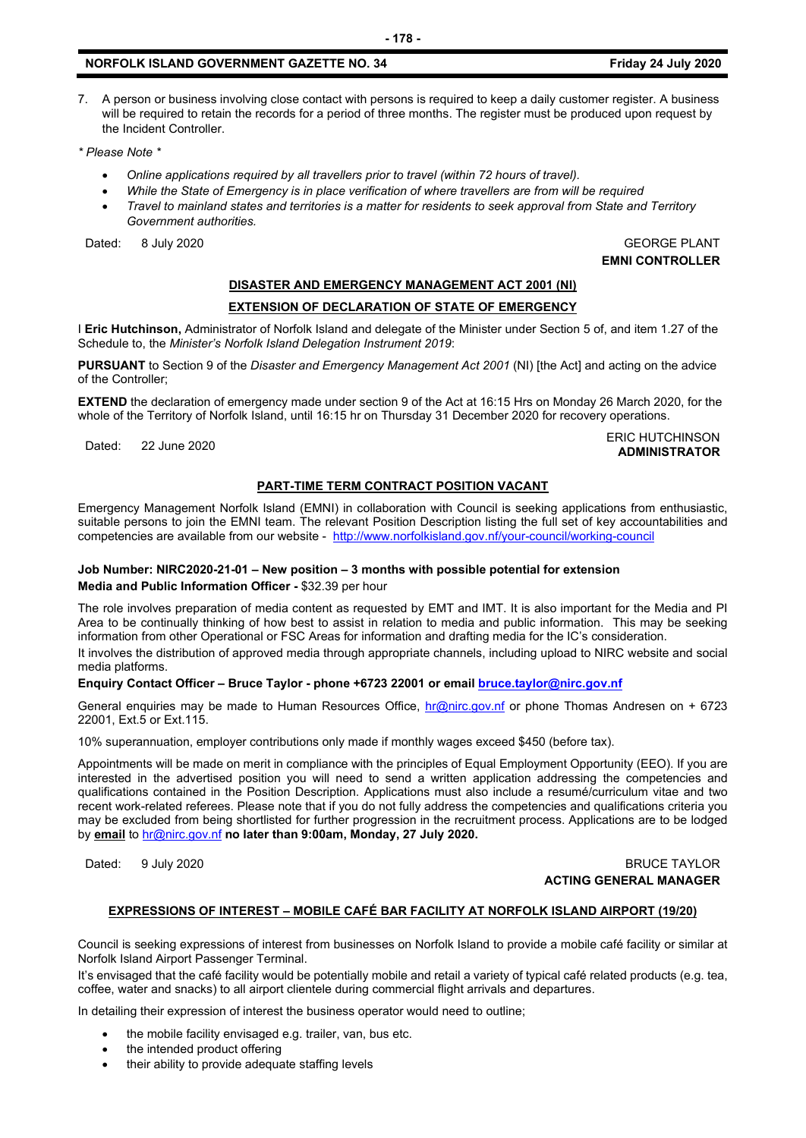7. A person or business involving close contact with persons is required to keep a daily customer register. A business will be required to retain the records for a period of three months. The register must be produced upon request by the Incident Controller.

*\* Please Note \** 

- *Online applications required by all travellers prior to travel (within 72 hours of travel).*
- *While the State of Emergency is in place verification of where travellers are from will be required*
- *Travel to mainland states and territories is a matter for residents to seek approval from State and Territory Government authorities.*

Dated: 8 July 2020 GEORGE PLANT **EMNI CONTROLLER**

# **DISASTER AND EMERGENCY MANAGEMENT ACT 2001 (NI)**

#### **EXTENSION OF DECLARATION OF STATE OF EMERGENCY**

I **Eric Hutchinson,** Administrator of Norfolk Island and delegate of the Minister under Section 5 of, and item 1.27 of the Schedule to, the *Minister's Norfolk Island Delegation Instrument 2019*:

**PURSUANT** to Section 9 of the *Disaster and Emergency Management Act 2001* (NI) [the Act] and acting on the advice of the Controller;

**EXTEND** the declaration of emergency made under section 9 of the Act at 16:15 Hrs on Monday 26 March 2020, for the whole of the Territory of Norfolk Island, until 16:15 hr on Thursday 31 December 2020 for recovery operations.

Dated: 22 June 2020<br>Dated: 22 June 2020 **ADMINISTRATOR**

#### **PART-TIME TERM CONTRACT POSITION VACANT**

Emergency Management Norfolk Island (EMNI) in collaboration with Council is seeking applications from enthusiastic, suitable persons to join the EMNI team. The relevant Position Description listing the full set of key accountabilities and competencies are available from our website - <http://www.norfolkisland.gov.nf/your-council/working-council>

#### **Job Number: NIRC2020-21-01 – New position – 3 months with possible potential for extension**

#### **Media and Public Information Officer -** \$32.39 per hour

The role involves preparation of media content as requested by EMT and IMT. It is also important for the Media and PI Area to be continually thinking of how best to assist in relation to media and public information. This may be seeking information from other Operational or FSC Areas for information and drafting media for the IC's consideration.

It involves the distribution of approved media through appropriate channels, including upload to NIRC website and social media platforms.

#### **Enquiry Contact Officer – Bruce Taylor - phone +6723 22001 or emai[l bruce.taylor@nirc.gov.nf](mailto:bruce.taylor@nirc.gov.nf)**

General enquiries may be made to Human Resources Office, [hr@nirc.gov.nf](mailto:hr@nirc.gov.nf) or phone Thomas Andresen on + 6723 22001, Ext.5 or Ext.115.

10% superannuation, employer contributions only made if monthly wages exceed \$450 (before tax).

Appointments will be made on merit in compliance with the principles of Equal Employment Opportunity (EEO). If you are interested in the advertised position you will need to send a written application addressing the competencies and qualifications contained in the Position Description. Applications must also include a resumé/curriculum vitae and two recent work-related referees. Please note that if you do not fully address the competencies and qualifications criteria you may be excluded from being shortlisted for further progression in the recruitment process. Applications are to be lodged by **email** to [hr@nirc.gov.nf](mailto:hr@nirc.gov.nf) **no later than 9:00am, Monday, 27 July 2020.** 

#### Dated: 9 July 2020 **BRUCE TAYLOR ACTING GENERAL MANAGER**

#### **EXPRESSIONS OF INTEREST – MOBILE CAFÉ BAR FACILITY AT NORFOLK ISLAND AIRPORT (19/20)**

Council is seeking expressions of interest from businesses on Norfolk Island to provide a mobile café facility or similar at Norfolk Island Airport Passenger Terminal.

It's envisaged that the café facility would be potentially mobile and retail a variety of typical café related products (e.g. tea, coffee, water and snacks) to all airport clientele during commercial flight arrivals and departures.

In detailing their expression of interest the business operator would need to outline;

- the mobile facility envisaged e.g. trailer, van, bus etc.
- the intended product offering
- their ability to provide adequate staffing levels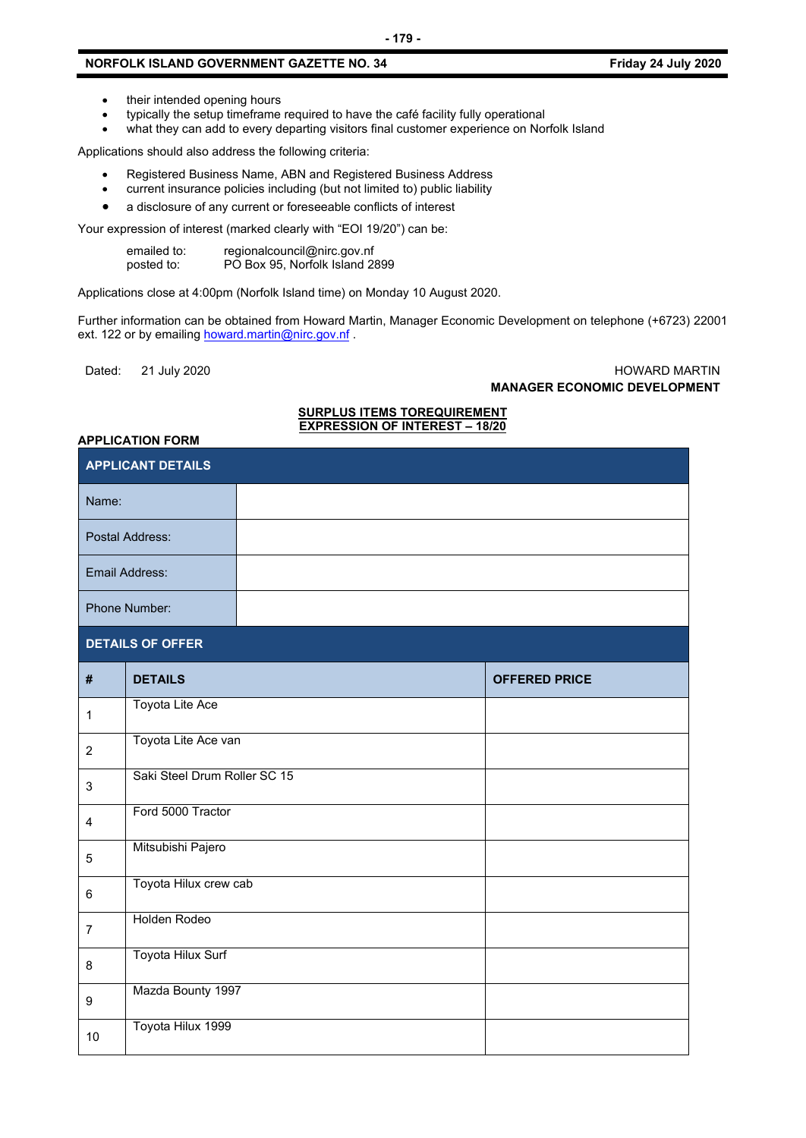- their intended opening hours
- typically the setup timeframe required to have the café facility fully operational
- what they can add to every departing visitors final customer experience on Norfolk Island

Applications should also address the following criteria:

- Registered Business Name, ABN and Registered Business Address
- current insurance policies including (but not limited to) public liability
- a disclosure of any current or foreseeable conflicts of interest

Your expression of interest (marked clearly with "EOI 19/20") can be:

| emailed to: | regionalcouncil@nirc.gov.nf    |
|-------------|--------------------------------|
| posted to:  | PO Box 95, Norfolk Island 2899 |

Applications close at 4:00pm (Norfolk Island time) on Monday 10 August 2020.

Further information can be obtained from Howard Martin, Manager Economic Development on telephone (+6723) 22001 ext. 122 or by emailin[g howard.martin@nirc.gov.nf](mailto:howard.martin@nirc.gov.nf).

#### Dated: 21 July 2020 HOWARD MARTIN **MANAGER ECONOMIC DEVELOPMENT**

#### **SURPLUS ITEMS TOREQUIREMENT EXPRESSION OF INTEREST – 18/20**

#### **APPLICATION FORM**

| APPLICANT DETAILS |                              |  |                      |
|-------------------|------------------------------|--|----------------------|
| Name:             |                              |  |                      |
|                   | Postal Address:              |  |                      |
|                   | Email Address:               |  |                      |
| Phone Number:     |                              |  |                      |
|                   | <b>DETAILS OF OFFER</b>      |  |                      |
| #                 | <b>DETAILS</b>               |  | <b>OFFERED PRICE</b> |
| $\mathbf 1$       | Toyota Lite Ace              |  |                      |
| $\overline{c}$    | Toyota Lite Ace van          |  |                      |
| $\mathsf 3$       | Saki Steel Drum Roller SC 15 |  |                      |
| 4                 | Ford 5000 Tractor            |  |                      |
| 5                 | Mitsubishi Pajero            |  |                      |
| 6                 | Toyota Hilux crew cab        |  |                      |
| $\overline{7}$    | <b>Holden Rodeo</b>          |  |                      |
| 8                 | Toyota Hilux Surf            |  |                      |
| 9                 | Mazda Bounty 1997            |  |                      |
| 10                | Toyota Hilux 1999            |  |                      |